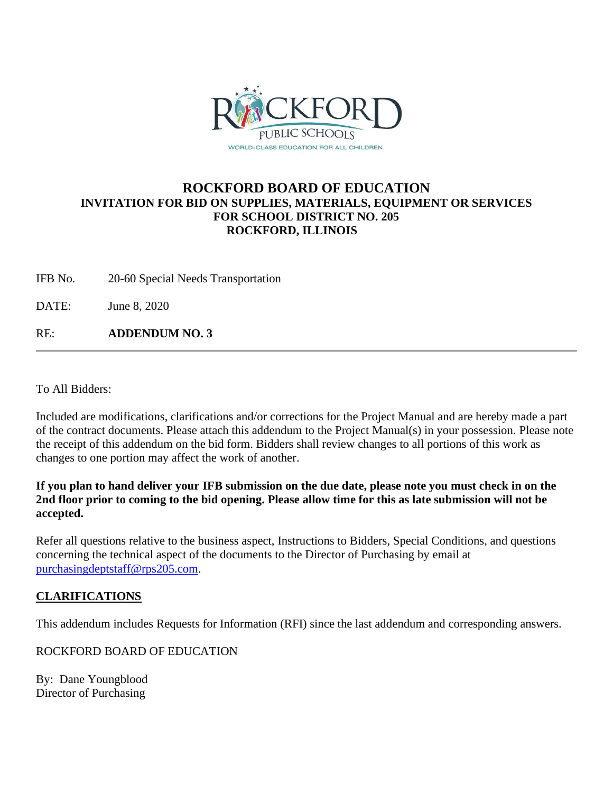

## **ROCKFORD BOARD OF EDUCATION INVITATION FOR BID ON SUPPLIES, MATERIALS, EQUIPMENT OR SERVICES FOR SCHOOL DISTRICT NO. 205 ROCKFORD, ILLINOIS**

IFB No. 20-60 Special Needs Transportation

DATE: June 8, 2020

RE: **ADDENDUM NO. 3**

To All Bidders:

Included are modifications, clarifications and/or corrections for the Project Manual and are hereby made a part of the contract documents. Please attach this addendum to the Project Manual(s) in your possession. Please note the receipt of this addendum on the bid form. Bidders shall review changes to all portions of this work as changes to one portion may affect the work of another.

**If you plan to hand deliver your IFB submission on the due date, please note you must check in on the 2nd floor prior to coming to the bid opening. Please allow time for this as late submission will not be accepted.**

Refer all questions relative to the business aspect, Instructions to Bidders, Special Conditions, and questions concerning the technical aspect of the documents to the Director of Purchasing by email at [purchasingdeptstaff@rps205.com.](mailto:purchasingdeptstaff@rps205.com)

## **CLARIFICATIONS**

This addendum includes Requests for Information (RFI) since the last addendum and corresponding answers.

ROCKFORD BOARD OF EDUCATION

By: Dane Youngblood Director of Purchasing